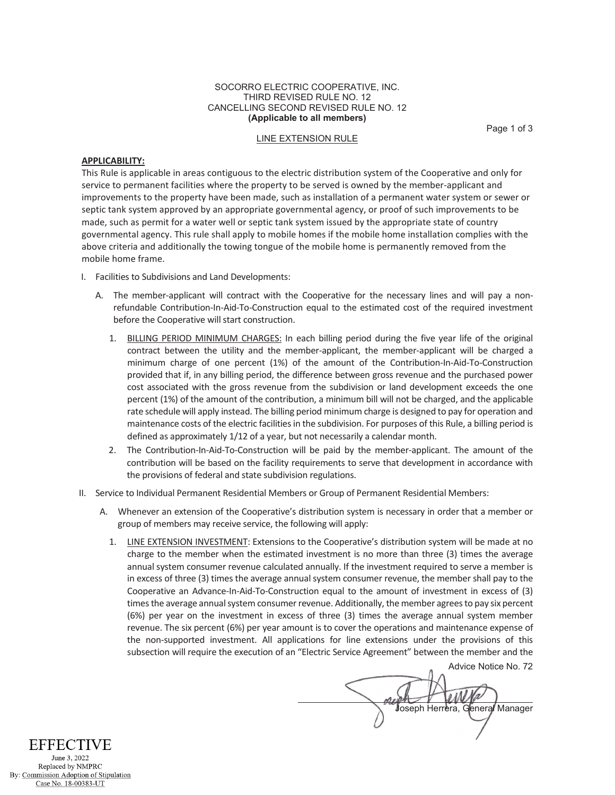#### SOCORRO ELECTRIC COOPERATIVE, INC. THIRD REVISED RULE NO. 12 CANCELLING SECOND REVISED RULE NO. 12 **(Applicable to all members)**

Page 1 of 3

## LINE EXTENSION RULE

#### **APPLICABILITY:**

This Rule is applicable in areas contiguous to the electric distribution system of the Cooperative and only for service to permanent facilities where the property to be served is owned by the member-applicant and improvements to the property have been made, such as installation of a permanent water system or sewer or septic tank system approved by an appropriate governmental agency, or proof of such improvements to be made, such as permit for a water well or septic tank system issued by the appropriate state of country governmental agency. This rule shall apply to mobile homes if the mobile home installation complies with the above criteria and additionally the towing tongue of the mobile home is permanently removed from the mobile home frame.

- I. Facilities to Subdivisions and Land Developments:
	- A. The member-applicant will contract with the Cooperative for the necessary lines and will pay a nonrefundable Contribution-In-Aid-To-Construction equal to the estimated cost of the required investment before the Cooperative will start construction.
		- 1. BILLING PERIOD MINIMUM CHARGES: In each billing period during the five year life of the original contract between the utility and the member-applicant, the member-applicant will be charged a minimum charge of one percent (1%) of the amount of the Contribution-In-Aid-To-Construction provided that if, in any billing period, the difference between gross revenue and the purchased power cost associated with the gross revenue from the subdivision or land development exceeds the one percent (1%) of the amount of the contribution, a minimum bill will not be charged, and the applicable rate schedule will apply instead. The billing period minimum charge is designed to pay for operation and maintenance costs of the electric facilities in the subdivision. For purposes of this Rule, a billing period is defined as approximately 1/12 of a year, but not necessarily a calendar month.
		- 2. The Contribution-In-Aid-To-Construction will be paid by the member-applicant. The amount of the contribution will be based on the facility requirements to serve that development in accordance with the provisions of federal and state subdivision regulations.
- II. Service to Individual Permanent Residential Members or Group of Permanent Residential Members:
	- A. Whenever an extension of the Cooperative's distribution system is necessary in order that a member or group of members may receive service, the following will apply:
		- 1. LINE EXTENSION INVESTMENT: Extensions to the Cooperative's distribution system will be made at no charge to the member when the estimated investment is no more than three (3) times the average annual system consumer revenue calculated annually. If the investment required to serve a member is in excess of three (3) times the average annual system consumer revenue, the member shall pay to the Cooperative an Advance-In-Aid-To-Construction equal to the amount of investment in excess of (3) times the average annual system consumer revenue. Additionally, the member agrees to pay six percent (6%) per year on the investment in excess of three (3) times the average annual system member revenue. The six percent (6%) per year amount is to cover the operations and maintenance expense of the non-supported investment. All applications for line extensions under the provisions of this subsection will require the execution of an "Electric Service Agreement" between the member and the

Advice Notice No. 72 Joseph Herrera, General Manager

**EFFECTIVE** June 3, 2022 Replaced by NMPRC By: Commission Adoption of Stipulation Case No. 18-00383-UT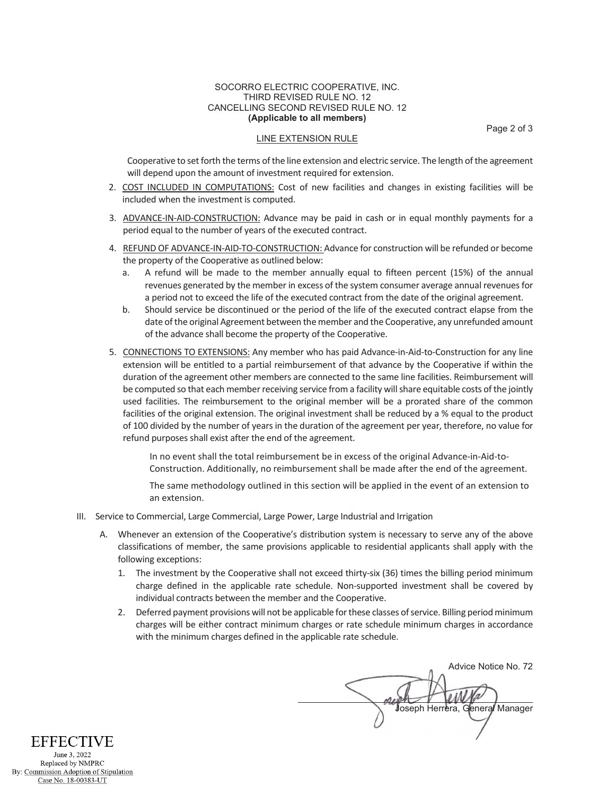#### SOCORRO ELECTRIC COOPERATIVE, INC. THIRD REVISED RULE NO. 12 CANCELLING SECOND REVISED RULE NO. 12 **(Applicable to all members)**

Page 2 of 3

# LINE EXTENSION RULE

Cooperative to set forth the terms of the line extension and electric service. The length of the agreement will depend upon the amount of investment required for extension.

- 2. COST INCLUDED IN COMPUTATIONS: Cost of new facilities and changes in existing facilities will be included when the investment is computed.
- 3. ADVANCE-IN-AID-CONSTRUCTION: Advance may be paid in cash or in equal monthly payments for a period equal to the number of years of the executed contract.
- 4. REFUND OF ADVANCE-IN-AID-TO-CONSTRUCTION: Advance for construction will be refunded or become the property of the Cooperative as outlined below:
	- a. A refund will be made to the member annually equal to fifteen percent (15%) of the annual revenues generated by the member in excess of the system consumer average annual revenues for a period not to exceed the life of the executed contract from the date of the original agreement.
	- b. Should service be discontinued or the period of the life of the executed contract elapse from the date of the original Agreement between the member and the Cooperative, any unrefunded amount of the advance shall become the property of the Cooperative.
- 5. CONNECTIONS TO EXTENSIONS: Any member who has paid Advance-in-Aid-to-Construction for any line extension will be entitled to a partial reimbursement of that advance by the Cooperative if within the duration of the agreement other members are connected to the same line facilities. Reimbursement will be computed so that each memberreceiving service from a facility will share equitable costs of the jointly used facilities. The reimbursement to the original member will be a prorated share of the common facilities of the original extension. The original investment shall be reduced by a % equal to the product of 100 divided by the number of years in the duration of the agreement per year, therefore, no value for refund purposes shall exist after the end of the agreement.

In no event shall the total reimbursement be in excess of the original Advance-in-Aid-to-Construction. Additionally, no reimbursement shall be made after the end of the agreement.

The same methodology outlined in this section will be applied in the event of an extension to an extension.

- III. Service to Commercial, Large Commercial, Large Power, Large Industrial and Irrigation
	- A. Whenever an extension of the Cooperative's distribution system is necessary to serve any of the above classifications of member, the same provisions applicable to residential applicants shall apply with the following exceptions:
		- 1. The investment by the Cooperative shall not exceed thirty-six (36) times the billing period minimum charge defined in the applicable rate schedule. Non-supported investment shall be covered by individual contracts between the member and the Cooperative.
		- 2. Deferred payment provisions will not be applicable for these classes of service. Billing period minimum charges will be either contract minimum charges or rate schedule minimum charges in accordance with the minimum charges defined in the applicable rate schedule.

Advice Notice No. 72 *Joseph Herrera, General Manager* 

**EFFECTIVE** June 3, 2022 Replaced by NMPRC By: Commission Adoption of Stipulation

Case No. 18-00383-UT